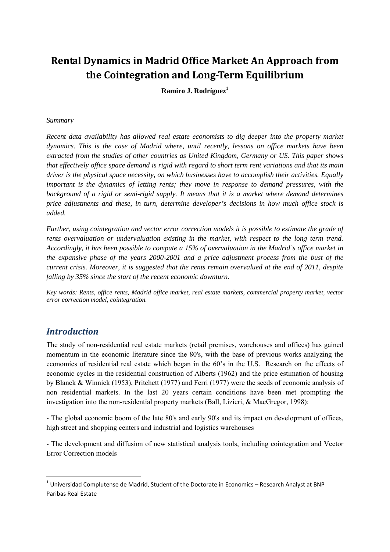# **Rental Dynamics in Madrid Office Market: An Approach from the Cointegration and Long‐Term Equilibrium**

**Ramiro J. Rodríguez1**

#### *Summary*

*Recent data availability has allowed real estate economists to dig deeper into the property market dynamics. This is the case of Madrid where, until recently, lessons on office markets have been extracted from the studies of other countries as United Kingdom, Germany or US. This paper shows that effectively office space demand is rigid with regard to short term rent variations and that its main driver is the physical space necessity, on which businesses have to accomplish their activities. Equally important is the dynamics of letting rents; they move in response to demand pressures, with the background of a rigid or semi-rigid supply. It means that it is a market where demand determines price adjustments and these, in turn, determine developer's decisions in how much office stock is added.* 

*Further, using cointegration and vector error correction models it is possible to estimate the grade of rents overvaluation or undervaluation existing in the market, with respect to the long term trend. Accordingly, it has been possible to compute a 15% of overvaluation in the Madrid's office market in the expansive phase of the years 2000-2001 and a price adjustment process from the bust of the current crisis. Moreover, it is suggested that the rents remain overvalued at the end of 2011, despite falling by 35% since the start of the recent economic downturn.* 

*Key words: Rents, office rents, Madrid office market, real estate markets, commercial property market, vector error correction model, cointegration.* 

### *Introduction*

The study of non-residential real estate markets (retail premises, warehouses and offices) has gained momentum in the economic literature since the 80's, with the base of previous works analyzing the economics of residential real estate which began in the 60's in the U.S. Research on the effects of economic cycles in the residential construction of Alberts (1962) and the price estimation of housing by Blanck & Winnick (1953), Pritchett (1977) and Ferri (1977) were the seeds of economic analysis of non residential markets. In the last 20 years certain conditions have been met prompting the investigation into the non-residential property markets (Ball, Lizieri, & MacGregor, 1998):

- The global economic boom of the late 80's and early 90's and its impact on development of offices, high street and shopping centers and industrial and logistics warehouses

- The development and diffusion of new statistical analysis tools, including cointegration and Vector Error Correction models

 $^{1}$  Universidad Complutense de Madrid, Student of the Doctorate in Economics – Research Analyst at BNP Paribas Real Estate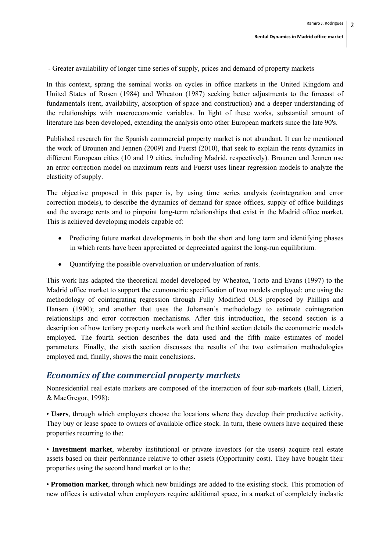- Greater availability of longer time series of supply, prices and demand of property markets

In this context, sprang the seminal works on cycles in office markets in the United Kingdom and United States of Rosen (1984) and Wheaton (1987) seeking better adjustments to the forecast of fundamentals (rent, availability, absorption of space and construction) and a deeper understanding of the relationships with macroeconomic variables. In light of these works, substantial amount of literature has been developed, extending the analysis onto other European markets since the late 90's.

Published research for the Spanish commercial property market is not abundant. It can be mentioned the work of Brounen and Jennen (2009) and Fuerst (2010), that seek to explain the rents dynamics in different European cities (10 and 19 cities, including Madrid, respectively). Brounen and Jennen use an error correction model on maximum rents and Fuerst uses linear regression models to analyze the elasticity of supply.

The objective proposed in this paper is, by using time series analysis (cointegration and error correction models), to describe the dynamics of demand for space offices, supply of office buildings and the average rents and to pinpoint long-term relationships that exist in the Madrid office market. This is achieved developing models capable of:

- Predicting future market developments in both the short and long term and identifying phases in which rents have been appreciated or depreciated against the long-run equilibrium.
- Quantifying the possible overvaluation or undervaluation of rents.

This work has adapted the theoretical model developed by Wheaton, Torto and Evans (1997) to the Madrid office market to support the econometric specification of two models employed: one using the methodology of cointegrating regression through Fully Modified OLS proposed by Phillips and Hansen (1990); and another that uses the Johansen's methodology to estimate cointegration relationships and error correction mechanisms. After this introduction, the second section is a description of how tertiary property markets work and the third section details the econometric models employed. The fourth section describes the data used and the fifth make estimates of model parameters. Finally, the sixth section discusses the results of the two estimation methodologies employed and, finally, shows the main conclusions.

#### *Economics of the commercial property markets*

Nonresidential real estate markets are composed of the interaction of four sub-markets (Ball, Lizieri, & MacGregor, 1998):

• **Users**, through which employers choose the locations where they develop their productive activity. They buy or lease space to owners of available office stock. In turn, these owners have acquired these properties recurring to the:

• **Investment market**, whereby institutional or private investors (or the users) acquire real estate assets based on their performance relative to other assets (Opportunity cost). They have bought their properties using the second hand market or to the:

• **Promotion market**, through which new buildings are added to the existing stock. This promotion of new offices is activated when employers require additional space, in a market of completely inelastic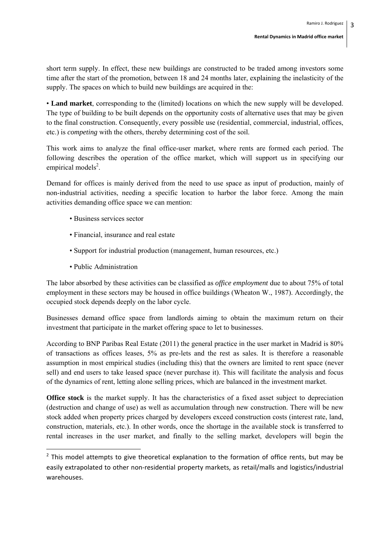short term supply. In effect, these new buildings are constructed to be traded among investors some time after the start of the promotion, between 18 and 24 months later, explaining the inelasticity of the supply. The spaces on which to build new buildings are acquired in the:

• **Land market**, corresponding to the (limited) locations on which the new supply will be developed. The type of building to be built depends on the opportunity costs of alternative uses that may be given to the final construction. Consequently, every possible use (residential, commercial, industrial, offices, etc.) is *competing* with the others, thereby determining cost of the soil.

This work aims to analyze the final office-user market, where rents are formed each period. The following describes the operation of the office market, which will support us in specifying our empirical models<sup>2</sup>.

Demand for offices is mainly derived from the need to use space as input of production, mainly of non-industrial activities, needing a specific location to harbor the labor force. Among the main activities demanding office space we can mention:

- Business services sector
- Financial, insurance and real estate
- Support for industrial production (management, human resources, etc.)
- Public Administration

The labor absorbed by these activities can be classified as *office employment* due to about 75% of total employment in these sectors may be housed in office buildings (Wheaton W., 1987). Accordingly, the occupied stock depends deeply on the labor cycle.

Businesses demand office space from landlords aiming to obtain the maximum return on their investment that participate in the market offering space to let to businesses.

According to BNP Paribas Real Estate (2011) the general practice in the user market in Madrid is 80% of transactions as offices leases, 5% as pre-lets and the rest as sales. It is therefore a reasonable assumption in most empirical studies (including this) that the owners are limited to rent space (never sell) and end users to take leased space (never purchase it). This will facilitate the analysis and focus of the dynamics of rent, letting alone selling prices, which are balanced in the investment market.

**Office stock** is the market supply. It has the characteristics of a fixed asset subject to depreciation (destruction and change of use) as well as accumulation through new construction. There will be new stock added when property prices charged by developers exceed construction costs (interest rate, land, construction, materials, etc.). In other words, once the shortage in the available stock is transferred to rental increases in the user market, and finally to the selling market, developers will begin the

 $2$  This model attempts to give theoretical explanation to the formation of office rents, but may be easily extrapolated to other non‐residential property markets, as retail/malls and logistics/industrial warehouses.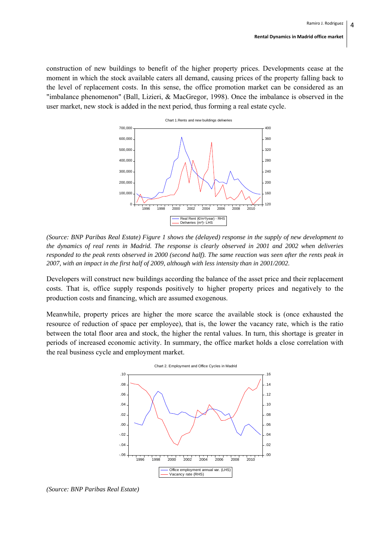construction of new buildings to benefit of the higher property prices. Developments cease at the moment in which the stock available caters all demand, causing prices of the property falling back to the level of replacement costs. In this sense, the office promotion market can be considered as an "imbalance phenomenon" (Ball, Lizieri, & MacGregor, 1998). Once the imbalance is observed in the user market, new stock is added in the next period, thus forming a real estate cycle.



*(Source: BNP Paribas Real Estate) Figure 1 shows the (delayed) response in the supply of new development to the dynamics of real rents in Madrid. The response is clearly observed in 2001 and 2002 when deliveries responded to the peak rents observed in 2000 (second half). The same reaction was seen after the rents peak in 2007, with an impact in the first half of 2009, although with less intensity than in 2001/2002.* 

Developers will construct new buildings according the balance of the asset price and their replacement costs. That is, office supply responds positively to higher property prices and negatively to the production costs and financing, which are assumed exogenous.

Meanwhile, property prices are higher the more scarce the available stock is (once exhausted the resource of reduction of space per employee), that is, the lower the vacancy rate, which is the ratio between the total floor area and stock, the higher the rental values. In turn, this shortage is greater in periods of increased economic activity. In summary, the office market holds a close correlation with the real business cycle and employment market.



*(Source: BNP Paribas Real Estate)*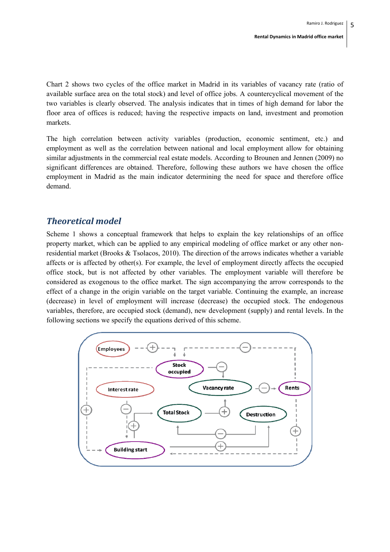Chart 2 shows two cycles of the office market in Madrid in its variables of vacancy rate (ratio of available surface area on the total stock) and level of office jobs. A countercyclical movement of the two variables is clearly observed. The analysis indicates that in times of high demand for labor the floor area of offices is reduced; having the respective impacts on land, investment and promotion markets.

The high correlation between activity variables (production, economic sentiment, etc.) and employment as well as the correlation between national and local employment allow for obtaining similar adjustments in the commercial real estate models. According to Brounen and Jennen (2009) no significant differences are obtained. Therefore, following these authors we have chosen the office employment in Madrid as the main indicator determining the need for space and therefore office demand.

### *Theoretical model*

Scheme 1 shows a conceptual framework that helps to explain the key relationships of an office property market, which can be applied to any empirical modeling of office market or any other nonresidential market (Brooks & Tsolacos, 2010). The direction of the arrows indicates whether a variable affects or is affected by other(s). For example, the level of employment directly affects the occupied office stock, but is not affected by other variables. The employment variable will therefore be considered as exogenous to the office market. The sign accompanying the arrow corresponds to the effect of a change in the origin variable on the target variable. Continuing the example, an increase (decrease) in level of employment will increase (decrease) the occupied stock. The endogenous variables, therefore, are occupied stock (demand), new development (supply) and rental levels. In the following sections we specify the equations derived of this scheme.

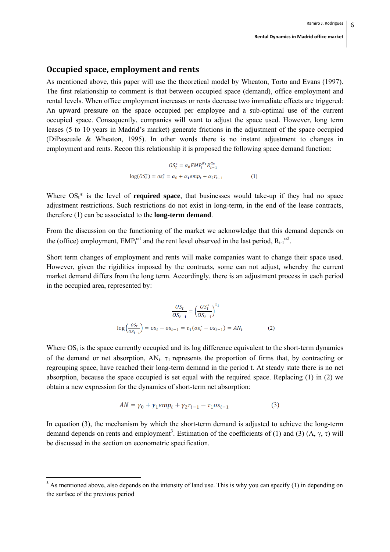#### **Occupied space, employment and rents**

As mentioned above, this paper will use the theoretical model by Wheaton, Torto and Evans (1997). The first relationship to comment is that between occupied space (demand), office employment and rental levels. When office employment increases or rents decrease two immediate effects are triggered: An upward pressure on the space occupied per employee and a sub-optimal use of the current occupied space. Consequently, companies will want to adjust the space used. However, long term leases (5 to 10 years in Madrid's market) generate frictions in the adjustment of the space occupied (DiPascuale & Wheaton, 1995). In other words there is no instant adjustment to changes in employment and rents. Recon this relationship it is proposed the following space demand function:

$$
OS_t^* = \alpha_0 E M P_t^{\alpha_1} R_{t-1}^{\alpha_2}
$$
  

$$
\log (OS_t^*) = os_t^* = \alpha_0 + \alpha_1 e m p_t + \alpha_2 r_{t-1}
$$
 (1)

Where  $OS<sub>t</sub>^*$  is the level of **required space**, that businesses would take-up if they had no space adjustment restrictions. Such restrictions do not exist in long-term, in the end of the lease contracts, therefore (1) can be associated to the **long-term demand**.

From the discussion on the functioning of the market we acknowledge that this demand depends on the (office) employment,  $EMP_t^{\alpha 1}$  and the rent level observed in the last period,  $R_{t-1}^{\alpha 2}$ .

Short term changes of employment and rents will make companies want to change their space used. However, given the rigidities imposed by the contracts, some can not adjust, whereby the current market demand differs from the long term. Accordingly, there is an adjustment process in each period in the occupied area, represented by:

$$
\frac{OS_t}{OS_{t-1}} = \left(\frac{OS_t^*}{OS_{t-1}}\right)^{t_1}
$$

$$
\log\left(\frac{OS_t}{OS_{t-1}}\right) = os_t - os_{t-1} = \tau_1 (os_t^* - os_{t-1}) = AN_t
$$
(2)

Where  $OS_t$  is the space currently occupied and its log difference equivalent to the short-term dynamics of the demand or net absorption,  $AN_t$ .  $\tau_1$  represents the proportion of firms that, by contracting or regrouping space, have reached their long-term demand in the period t. At steady state there is no net absorption, because the space occupied is set equal with the required space. Replacing (1) in (2) we obtain a new expression for the dynamics of short-term net absorption:

$$
AN = \gamma_0 + \gamma_1 emp_t + \gamma_2 r_{t-1} - \tau_1 os_{t-1}
$$
\n(3)

In equation (3), the mechanism by which the short-term demand is adjusted to achieve the long-term demand depends on rents and employment<sup>3</sup>. Estimation of the coefficients of (1) and (3) (A,  $\gamma$ ,  $\tau$ ) will be discussed in the section on econometric specification.

<sup>&</sup>lt;sup>3</sup> As mentioned above, also depends on the intensity of land use. This is why you can specify (1) in depending on the surface of the previous period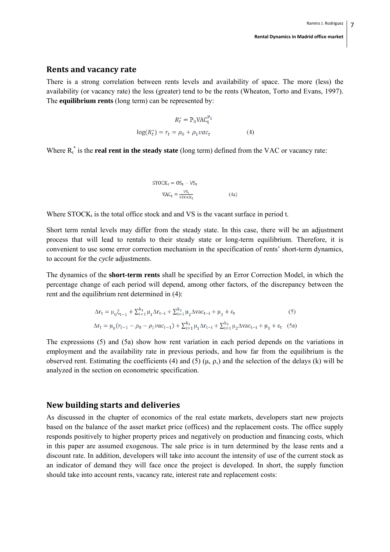#### **Rents and vacancy rate**

There is a strong correlation between rents levels and availability of space. The more (less) the availability (or vacancy rate) the less (greater) tend to be the rents (Wheaton, Torto and Evans, 1997). The **equilibrium rents** (long term) can be represented by:

$$
R_t^* = P_0 V A C_t^{P_1}
$$
  

$$
\log(R_t^*) = r_t = \rho_0 + \rho_1 v a c_t
$$
 (4)

Where  $R_t^*$  is the **real rent in the steady state** (long term) defined from the VAC or vacancy rate:

$$
STOCK_{t} = OS_{t} - VS_{t}
$$

$$
VAC_{t} = \frac{vs_{t}}{STOCK_{t}}
$$
(4a)

Where  $STOCK<sub>t</sub>$  is the total office stock and and VS is the vacant surface in period t.

Short term rental levels may differ from the steady state. In this case, there will be an adjustment process that will lead to rentals to their steady state or long-term equilibrium. Therefore, it is convenient to use some error correction mechanism in the specification of rents' short-term dynamics, to account for the *cycle* adjustments.

The dynamics of the **short-term rents** shall be specified by an Error Correction Model, in which the percentage change of each period will depend, among other factors, of the discrepancy between the rent and the equilibrium rent determined in (4):

$$
\Delta r_{t} = \mu_{0} \xi_{t-1} + \sum_{i=1}^{k_{1}} \mu_{1} \Delta r_{t-i} + \sum_{i=1}^{k_{2}} \mu_{2} \Delta v a c_{t-i} + \mu_{3} + \varepsilon_{t}
$$
(5)  

$$
\Delta r_{t} = \mu_{0} (r_{t-1} - \rho_{0} - \rho_{1} v a c_{t-1}) + \sum_{i=1}^{k_{1}} \mu_{1} \Delta r_{t-i} + \sum_{i=1}^{k_{2}} \mu_{2} \Delta v a c_{t-i} + \mu_{3} + \varepsilon_{t}
$$
(5a)

The expressions (5) and (5a) show how rent variation in each period depends on the variations in employment and the availability rate in previous periods, and how far from the equilibrium is the observed rent. Estimating the coefficients (4) and (5) (μ, ρ,) and the selection of the delays (k) will be analyzed in the section on econometric specification.

#### **New building starts and deliveries**

As discussed in the chapter of economics of the real estate markets, developers start new projects based on the balance of the asset market price (offices) and the replacement costs. The office supply responds positively to higher property prices and negatively on production and financing costs, which in this paper are assumed exogenous. The sale price is in turn determined by the lease rents and a discount rate. In addition, developers will take into account the intensity of use of the current stock as an indicator of demand they will face once the project is developed. In short, the supply function should take into account rents, vacancy rate, interest rate and replacement costs: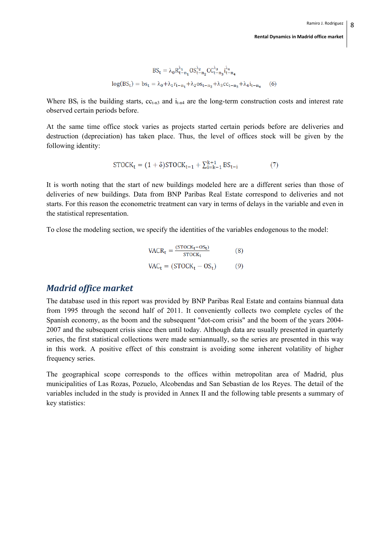$$
BS_t = \lambda_0 R_{t-n_1}^{\lambda_1} OS_{t-n_2}^{\lambda_2} CC_{t-n_3}^{\lambda_3} i_{t-n_4}^{\lambda_4}
$$
  

$$
log(BS_t) = bs_t = \lambda_0 + \lambda_1 r_{t-n_1} + \lambda_2 os_{t-n_2} + \lambda_3 cc_{t-n_3} + \lambda_4 i_{t-n_4}
$$
 (6)

Where  $BS_t$  is the building starts,  $cc_{t-13}$  and  $i_{t-14}$  are the long-term construction costs and interest rate observed certain periods before.

At the same time office stock varies as projects started certain periods before are deliveries and destruction (depreciation) has taken place. Thus, the level of offices stock will be given by the following identity:

$$
STOCK_{t} = (1 + \delta)STOCK_{t-1} + \sum_{i=k-1}^{k+1} BS_{t-i}
$$
 (7)

It is worth noting that the start of new buildings modeled here are a different series than those of deliveries of new buildings. Data from BNP Paribas Real Estate correspond to deliveries and not starts. For this reason the econometric treatment can vary in terms of delays in the variable and even in the statistical representation.

To close the modeling section, we specify the identities of the variables endogenous to the model:

$$
VACR_t = \frac{(STOCK_t - OS_t)}{STOCK_t}
$$
 (8)  

$$
VAC_t = (STOCK_t - OS_t)
$$
 (9)

### *Madrid office market*

The database used in this report was provided by BNP Paribas Real Estate and contains biannual data from 1995 through the second half of 2011. It conveniently collects two complete cycles of the Spanish economy, as the boom and the subsequent "dot-com crisis" and the boom of the years 2004- 2007 and the subsequent crisis since then until today. Although data are usually presented in quarterly series, the first statistical collections were made semiannually, so the series are presented in this way in this work. A positive effect of this constraint is avoiding some inherent volatility of higher frequency series.

The geographical scope corresponds to the offices within metropolitan area of Madrid, plus municipalities of Las Rozas, Pozuelo, Alcobendas and San Sebastian de los Reyes. The detail of the variables included in the study is provided in Annex II and the following table presents a summary of key statistics: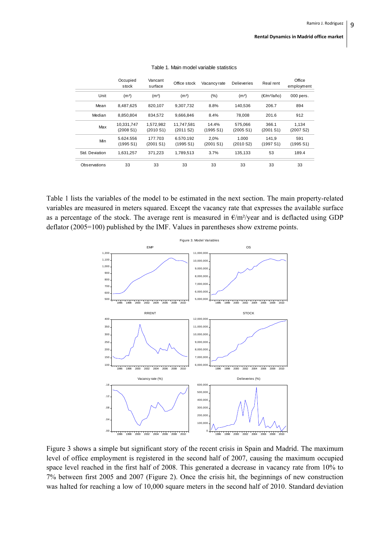|                | Occupied<br>stock       | Vancant<br>surface    | Office stock            | Vacancy rate       | <b>Delieveries</b>   | Real rent                   | Office<br>employment |
|----------------|-------------------------|-----------------------|-------------------------|--------------------|----------------------|-----------------------------|----------------------|
| Unit           | (m <sup>2</sup> )       | (m <sup>2</sup> )     | (m <sup>2</sup> )       | $(\% )$            | (m <sup>2</sup> )    | $(\epsilon/m^2/a\text{ño})$ | 000 pers.            |
| Mean           | 8.487.625               | 820.107               | 9.307.732               | 8.8%               | 140.536              | 206.7                       | 894                  |
| Median         | 8.850.804               | 834.572               | 9.666.846               | 8.4%               | 78.008               | 201.6                       | 912                  |
| Max            | 10.331.747<br>(2008 S1) | 1.572.982<br>(2010S1) | 11.747.581<br>(2011 S2) | 14.4%<br>(1995 S1) | 575.066<br>(2005 S1) | 366.1<br>(2001 S1)          | 1.134<br>(2007 S2)   |
| Min            | 5.624.556<br>(1995 S1)  | 177.703<br>(2001 S1)  | 6.570.192<br>(1995 S1)  | 2.0%<br>(2001 S1)  | 1.000<br>(2010 S2)   | 141.9<br>(1997 S1)          | 591<br>(1995 S1)     |
| Std. Deviation | 1.631.257               | 371.223               | 1.789.513               | 3.7%               | 135.133              | 53                          | 189.4                |
| Observations   | 33                      | 33                    | 33                      | 33                 | 33                   | 33                          | 33                   |

#### Table 1. Main model variable statistics

Table 1 lists the variables of the model to be estimated in the next section. The main property-related variables are measured in meters squared. Except the vacancy rate that expresses the available surface as a percentage of the stock. The average rent is measured in  $\epsilon/m^2$ /year and is deflacted using GDP deflator (2005=100) published by the IMF. Values in parentheses show extreme points.



Figure 3 shows a simple but significant story of the recent crisis in Spain and Madrid. The maximum level of office employment is registered in the second half of 2007, causing the maximum occupied space level reached in the first half of 2008. This generated a decrease in vacancy rate from 10% to 7% between first 2005 and 2007 (Figure 2). Once the crisis hit, the beginnings of new construction was halted for reaching a low of 10,000 square meters in the second half of 2010. Standard deviation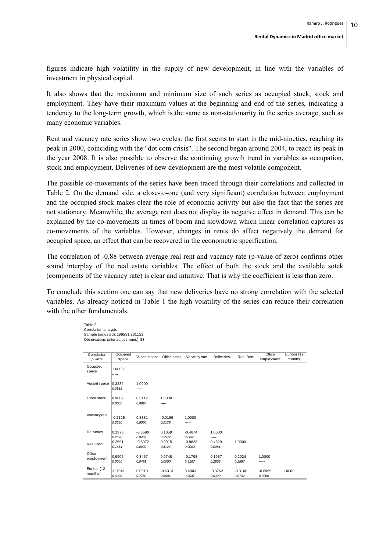figures indicate high volatility in the supply of new development, in line with the variables of investment in physical capital.

It also shows that the maximum and minimum size of such series as occupied stock, stock and employment. They have their maximum values at the beginning and end of the series, indicating a tendency to the long-term growth, which is the same as non-stationarity in the series average, such as many economic variables.

Rent and vacancy rate series show two cycles: the first seems to start in the mid-nineties, reaching its peak in 2000, coinciding with the "dot com crisis". The second began around 2004, to reach its peak in the year 2008. It is also possible to observe the continuing growth trend in variables as occupation, stock and employment. Deliveries of new development are the most volatile component.

The possible co-movements of the series have been traced through their correlations and collected in Table 2. On the demand side, a close-to-one (and very significant) correlation between employment and the occupied stock makes clear the role of economic activity but also the fact that the series are not stationary. Meanwhile, the average rent does not display its negative effect in demand. This can be explained by the co-movements in times of boom and slowdown which linear correlation captures as co-movements of the variables. However, changes in rents do affect negatively the demand for occupied space, an effect that can be recovered in the econometric specification.

The correlation of -0.88 between average real rent and vacancy rate (p-value of zero) confirms other sound interplay of the real estate variables. The effect of both the stock and the available sotck (components of the vacancy rate) is clear and intuitive. That is why the coefficient is less than zero.

To conclude this section one can say that new deliveries have no strong correlation with the selected variables. As already noticed in Table 1 the high volatility of the series can reduce their correlation with the other fundamentals.

> Table 2. Correlation analysis Sample (adjusted): 1995S1 2011S2 Observations (after adjustments): 33

| Correlation<br>p-value | Occupied<br>space   | Vacant space        | Office stock        | Vacancy rate        | Deliveries          | <b>Real Rent</b>    | Office<br>employment | Euribor (12<br>months) |
|------------------------|---------------------|---------------------|---------------------|---------------------|---------------------|---------------------|----------------------|------------------------|
| Occupied<br>space      | 1.0000<br>-----     |                     |                     |                     |                     |                     |                      |                        |
| Vacant space           | 0.3332<br>0.0581    | 1.0000<br>-----     |                     |                     |                     |                     |                      |                        |
| Office stock           | 0.9807<br>0.0000    | 0.5112<br>0.0024    | 1.0000<br>-----     |                     |                     |                     |                      |                        |
| Vacancy rate           | $-0.2125$<br>0.2350 | 0.8381<br>0.0000    | $-0.0199$<br>0.9126 | 1.0000<br>-----     |                     |                     |                      |                        |
| <b>Deliveries</b>      | 0.1978<br>0.2698    | $-0.3590$<br>0.0402 | 0.1059<br>0.5577    | $-0.4674$<br>0.0061 | 1.0000<br>-----     |                     |                      |                        |
| <b>Real Rent</b>       | 0.2591<br>0.1454    | $-0.6972$<br>0.0000 | 0.0915<br>0.6124    | $-0.8828$<br>0.0000 | 0.4529<br>0.0081    | 1.0000<br>-----     |                      |                        |
| Office<br>employment   | 0.9905<br>0.0000    | 0.3467<br>0.0481    | 0.9748<br>0.0000    | $-0.1798$<br>0.3167 | 0.1937<br>0.2802    | 0.2024<br>0.2587    | 1.0000<br>-----      |                        |
| Euribor (12<br>months) | $-0.7041$<br>0.0000 | 0.0510<br>0.7780    | $-0.6313$<br>0.0001 | 0.4803<br>0.0047    | $-0.3762$<br>0.0309 | $-0.3160$<br>0.0732 | $-0.6969$<br>0.0000  | 1.0000<br>-----        |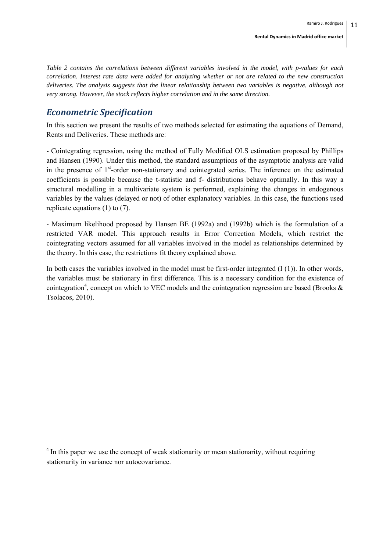*Table 2 contains the correlations between different variables involved in the model, with p-values for each correlation. Interest rate data were added for analyzing whether or not are related to the new construction deliveries. The analysis suggests that the linear relationship between two variables is negative, although not very strong. However, the stock reflects higher correlation and in the same direction.* 

### *Econometric Specification*

In this section we present the results of two methods selected for estimating the equations of Demand, Rents and Deliveries. These methods are:

- Cointegrating regression, using the method of Fully Modified OLS estimation proposed by Phillips and Hansen (1990). Under this method, the standard assumptions of the asymptotic analysis are valid in the presence of 1<sup>st</sup>-order non-stationary and cointegrated series. The inference on the estimated coefficients is possible because the t-statistic and f- distributions behave optimally. In this way a structural modelling in a multivariate system is performed, explaining the changes in endogenous variables by the values (delayed or not) of other explanatory variables. In this case, the functions used replicate equations (1) to (7).

- Maximum likelihood proposed by Hansen BE (1992a) and (1992b) which is the formulation of a restricted VAR model. This approach results in Error Correction Models, which restrict the cointegrating vectors assumed for all variables involved in the model as relationships determined by the theory. In this case, the restrictions fit theory explained above.

In both cases the variables involved in the model must be first-order integrated  $(I(1))$ . In other words, the variables must be stationary in first difference. This is a necessary condition for the existence of cointegration<sup>4</sup>, concept on which to VEC models and the cointegration regression are based (Brooks  $\&$ Tsolacos, 2010).

<sup>&</sup>lt;sup>4</sup> In this paper we use the concept of weak stationarity or mean stationarity, without requiring stationarity in variance nor autocovariance.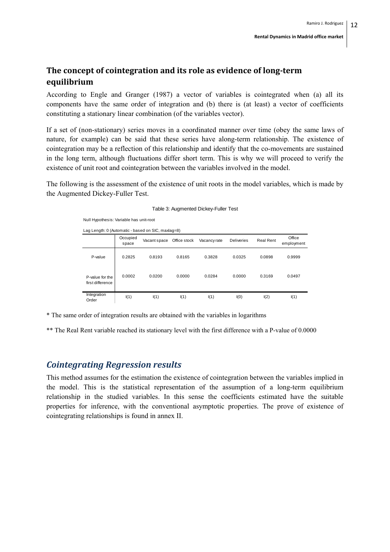### **The concept of cointegration and its role as evidence of long‐term equilibrium**

According to Engle and Granger (1987) a vector of variables is cointegrated when (a) all its components have the same order of integration and (b) there is (at least) a vector of coefficients constituting a stationary linear combination (of the variables vector).

If a set of (non-stationary) series moves in a coordinated manner over time (obey the same laws of nature, for example) can be said that these series have along-term relationship. The existence of cointegration may be a reflection of this relationship and identify that the co-movements are sustained in the long term, although fluctuations differ short term. This is why we will proceed to verify the existence of unit root and cointegration between the variables involved in the model.

The following is the assessment of the existence of unit roots in the model variables, which is made by the Augmented Dickey-Fuller Test.

|                                     | Lag Length: 0 (Automatic - based on SIC, maxlag=8) |              |              |              |                   |                  |                      |  |
|-------------------------------------|----------------------------------------------------|--------------|--------------|--------------|-------------------|------------------|----------------------|--|
|                                     | Occupied<br>space                                  | Vacant space | Office stock | Vacancy rate | <b>Deliveries</b> | <b>Real Rent</b> | Office<br>employment |  |
| P-value                             | 0.2825                                             | 0.8193       | 0.8165       | 0.3828       | 0.0325            | 0.0898           | 0.9999               |  |
| P-value for the<br>first difference | 0.0002                                             | 0.0200       | 0.0000       | 0.0284       | 0.0000            | 0.3169           | 0.0497               |  |
| Integration<br>Order                | I(1)                                               | I(1)         | I(1)         | I(1)         | I(0)              | I(2)             | I(1)                 |  |

\* The same order of integration results are obtained with the variables in logarithms

\*\* The Real Rent variable reached its stationary level with the first difference with a P-value of 0.0000

### *Cointegrating Regression results*

Null Hypothesis: Variable has unit-root

This method assumes for the estimation the existence of cointegration between the variables implied in the model. This is the statistical representation of the assumption of a long-term equilibrium relationship in the studied variables. In this sense the coefficients estimated have the suitable properties for inference, with the conventional asymptotic properties. The prove of existence of cointegrating relationships is found in annex II.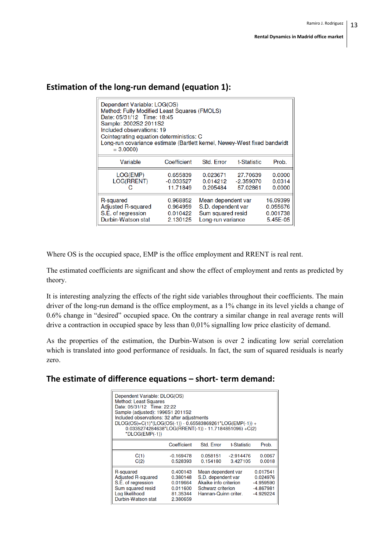| Dependent Variable: LOG(OS)<br>Method: Fully Modified Least Squares (FMOLS)<br>Date: 05/31/12 Time: 18:45<br>Sample: 2002S2 2011S2<br>Included observations: 19<br>Cointegrating equation deterministics: C<br>Long-run covariance estimate (Bartlett kernel, Newey-West fixed bandwidt<br>$= 3.0000$ |                                              |                                                                                                                                    |                                   |                            |  |
|-------------------------------------------------------------------------------------------------------------------------------------------------------------------------------------------------------------------------------------------------------------------------------------------------------|----------------------------------------------|------------------------------------------------------------------------------------------------------------------------------------|-----------------------------------|----------------------------|--|
| Variable                                                                                                                                                                                                                                                                                              | Coefficient                                  | Std. Error                                                                                                                         | t-Statistic                       | Prob.                      |  |
| LOG(EMP)<br>LOG(RRENT)<br>С                                                                                                                                                                                                                                                                           | 0.655839<br>-0.033527<br>11.71849            | 0.023671<br>0.014212<br>0.205484                                                                                                   | 27.70639<br>-2.359070<br>57.02861 | 0.0000<br>0.0314<br>0.0000 |  |
| R-squared<br><b>Adjusted R-squared</b><br>S.E. of regression<br>Durbin-Watson stat                                                                                                                                                                                                                    | 0.968852<br>0.964959<br>0.010422<br>2.130125 | 16.09399<br>Mean dependent var<br>S.D. dependent var<br>0.055676<br>Sum squared resid<br>0.001738<br>Long-run variance<br>5.45E-05 |                                   |                            |  |

### **Estimation of the long‐run demand (equation 1):**

Where OS is the occupied space, EMP is the office employment and RRENT is real rent.

The estimated coefficients are significant and show the effect of employment and rents as predicted by theory.

It is interesting analyzing the effects of the right side variables throughout their coefficients. The main driver of the long-run demand is the office employment, as a 1% change in its level yields a change of 0.6% change in "desired" occupied space. On the contrary a similar change in real average rents will drive a contraction in occupied space by less than 0,01% signalling low price elasticity of demand.

As the properties of the estimation, the Durbin-Watson is over 2 indicating low serial correlation which is translated into good performance of residuals. In fact, the sum of squared residuals is nearly zero.

### **The estimate of difference equations – short‐ term demand:**

| Dependent Variable: DLOG(OS)<br><b>Method: Least Squares</b><br>Date: 05/31/12 Time: 22:22<br>Sample (adjusted): 1996S1 2011S2<br>Included observations: 32 after adjustments<br>DLOG(OS)=C(1)*(LOG(OS(-1)) - 0.65583869261*LOG(EMP(-1)) +<br>$0.0335274284638*LOG(RRENT(-1)) - 11.7184851096) + C(2)$<br>$*DLOG(EMP(-1))$ |                                                                      |                                                                                                                |                         |                                                                   |  |
|----------------------------------------------------------------------------------------------------------------------------------------------------------------------------------------------------------------------------------------------------------------------------------------------------------------------------|----------------------------------------------------------------------|----------------------------------------------------------------------------------------------------------------|-------------------------|-------------------------------------------------------------------|--|
|                                                                                                                                                                                                                                                                                                                            | Coefficient                                                          | Std. Error                                                                                                     | t-Statistic             | Prob.                                                             |  |
| C(1)<br>C(2)                                                                                                                                                                                                                                                                                                               | $-0.169478$<br>0.528393                                              | 0.058151<br>0.154180                                                                                           | $-2.914476$<br>3.427105 | 0.0067<br>0.0018                                                  |  |
| R-squared<br><b>Adjusted R-squared</b><br>S.E. of regression<br>Sum squared resid<br>Log likelihood<br>Durbin-Watson stat                                                                                                                                                                                                  | 0.400143<br>0.380148<br>0.019664<br>0.011600<br>81.35344<br>2.380659 | Mean dependent var<br>S.D. dependent var<br>Akaike info criterion<br>Schwarz criterion<br>Hannan-Quinn criter. |                         | 0.017541<br>0.024976<br>$-4.959590$<br>$-4.867981$<br>$-4.929224$ |  |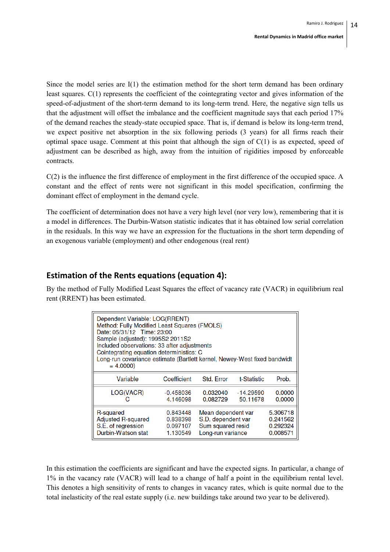Since the model series are I(1) the estimation method for the short term demand has been ordinary least squares. C(1) represents the coefficient of the cointegrating vector and gives information of the speed-of-adjustment of the short-term demand to its long-term trend. Here, the negative sign tells us that the adjustment will offset the imbalance and the coefficient magnitude says that each period 17% of the demand reaches the steady-state occupied space. That is, if demand is below its long-term trend, we expect positive net absorption in the six following periods (3 years) for all firms reach their optimal space usage. Comment at this point that although the sign of  $C(1)$  is as expected, speed of adjustment can be described as high, away from the intuition of rigidities imposed by enforceable contracts.

C(2) is the influence the first difference of employment in the first difference of the occupied space. A constant and the effect of rents were not significant in this model specification, confirming the dominant effect of employment in the demand cycle.

The coefficient of determination does not have a very high level (nor very low), remembering that it is a model in differences. The Durbin-Watson statistic indicates that it has obtained low serial correlation in the residuals. In this way we have an expression for the fluctuations in the short term depending of an exogenous variable (employment) and other endogenous (real rent)

### **Estimation of the Rents equations (equation 4):**

By the method of Fully Modified Least Squares the effect of vacancy rate (VACR) in equilibrium real rent (RRENT) has been estimated.

| Dependent Variable: LOG(RRENT)<br>Method: Fully Modified Least Squares (FMOLS)<br>Date: 05/31/12 Time: 23:00<br>Sample (adjusted): 1995S2 2011S2<br>Included observations: 33 after adjustments<br>Cointegrating equation deterministics: C<br>Long-run covariance estimate (Bartlett kernel, Newey-West fixed bandwidt<br>$= 4.0000$ |                       |                      |                         |                  |  |  |
|---------------------------------------------------------------------------------------------------------------------------------------------------------------------------------------------------------------------------------------------------------------------------------------------------------------------------------------|-----------------------|----------------------|-------------------------|------------------|--|--|
| Variable                                                                                                                                                                                                                                                                                                                              | Coefficient           | Std. Error           | t-Statistic             | Prob.            |  |  |
| LOG(VACR)<br>G                                                                                                                                                                                                                                                                                                                        | -0.458036<br>4.146098 | 0.032040<br>0.082729 | $-14.29590$<br>50.11678 | 0.0000<br>0.0000 |  |  |
| Mean dependent var<br>R-squared<br>5.306718<br>0.843448<br><b>Adjusted R-squared</b><br>S.D. dependent var<br>0.838398<br>0.241562<br>S.E. of regression<br>Sum squared resid<br>0.097107<br>0.292324<br>Durbin-Watson stat<br>Long-run variance<br>1.130549<br>0.008571                                                              |                       |                      |                         |                  |  |  |

In this estimation the coefficients are significant and have the expected signs. In particular, a change of 1% in the vacancy rate (VACR) will lead to a change of half a point in the equilibrium rental level. This denotes a high sensitivity of rents to changes in vacancy rates, which is quite normal due to the total inelasticity of the real estate supply (i.e. new buildings take around two year to be delivered).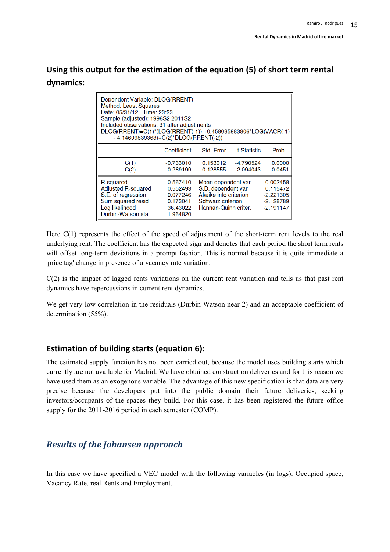## **Using this output for the estimation of the equation (5) of short term rental dynamics:**

| Dependent Variable: DLOG(RRENT)<br><b>Method: Least Squares</b><br>Date: 05/31/12 Time: 23:23<br>Sample (adjusted): 1996S2 2011S2<br>Included observations: 31 after adjustments<br>DLOG(RRENT)=C(1)*(LOG(RRENT(-1)) +0.458035883806*LOG(VACR(-1)<br>$-4.14609839363$ + $C(2)^*$ DLOG(RRENT(-2)) |                                                                      |                                                                                                                |                       |                                                                   |  |  |
|--------------------------------------------------------------------------------------------------------------------------------------------------------------------------------------------------------------------------------------------------------------------------------------------------|----------------------------------------------------------------------|----------------------------------------------------------------------------------------------------------------|-----------------------|-------------------------------------------------------------------|--|--|
|                                                                                                                                                                                                                                                                                                  | Coefficient                                                          | Std. Error                                                                                                     | t-Statistic           | Prob.                                                             |  |  |
| C(1)<br>C(2)                                                                                                                                                                                                                                                                                     | -0.733010<br>0.269199                                                | 0.153012<br>0.128555                                                                                           | -4.790524<br>2.094043 | 0.0000<br>0.0451                                                  |  |  |
| R-squared<br><b>Adjusted R-squared</b><br>S.E. of regression<br>Sum squared resid<br>Log likelihood<br>Durbin-Watson stat                                                                                                                                                                        | 0.567410<br>0.552493<br>0.077246<br>0.173041<br>36.43022<br>1.964820 | Mean dependent var<br>S.D. dependent var<br>Akaike info criterion<br>Schwarz criterion<br>Hannan-Quinn criter. |                       | 0.002458<br>0.115472<br>$-2.221305$<br>$-2.128789$<br>$-2.191147$ |  |  |

Here C(1) represents the effect of the speed of adjustment of the short-term rent levels to the real underlying rent. The coefficient has the expected sign and denotes that each period the short term rents will offset long-term deviations in a prompt fashion. This is normal because it is quite immediate a 'price tag' change in presence of a vacancy rate variation.

C(2) is the impact of lagged rents variations on the current rent variation and tells us that past rent dynamics have repercussions in current rent dynamics.

We get very low correlation in the residuals (Durbin Watson near 2) and an acceptable coefficient of determination (55%).

### **Estimation of building starts (equation 6):**

The estimated supply function has not been carried out, because the model uses building starts which currently are not available for Madrid. We have obtained construction deliveries and for this reason we have used them as an exogenous variable. The advantage of this new specification is that data are very precise because the developers put into the public domain their future deliveries, seeking investors/occupants of the spaces they build. For this case, it has been registered the future office supply for the 2011-2016 period in each semester (COMP).

## *Results of the Johansen approach*

In this case we have specified a VEC model with the following variables (in logs): Occupied space, Vacancy Rate, real Rents and Employment.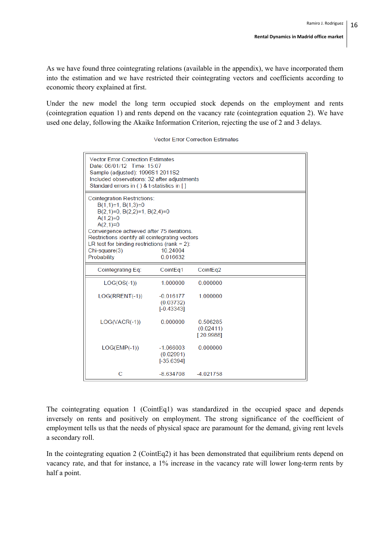As we have found three cointegrating relations (available in the appendix), we have incorporated them into the estimation and we have restricted their cointegrating vectors and coefficients according to economic theory explained at first.

Under the new model the long term occupied stock depends on the employment and rents (cointegration equation 1) and rents depend on the vacancy rate (cointegration equation 2). We have used one delay, following the Akaike Information Criterion, rejecting the use of 2 and 3 delays.

| <b>Vector Error Correction Estimates</b><br>Date: 06/01/12 Time: 15:07<br>Sample (adjusted): 1996S1 2011S2<br>Included observations: 32 after adjustments<br>Standard errors in () & t-statistics in []                                                                                                                                      |                                          |                                    |  |  |  |  |
|----------------------------------------------------------------------------------------------------------------------------------------------------------------------------------------------------------------------------------------------------------------------------------------------------------------------------------------------|------------------------------------------|------------------------------------|--|--|--|--|
| <b>Cointegration Restrictions:</b><br>$B(1,1)=1$ , $B(1,3)=0$<br>$B(2,1)=0$ , $B(2,2)=1$ , $B(2,4)=0$<br>$A(1,2)=0$<br>$A(2,1)=0$<br>Convergence achieved after 75 iterations.<br>Restrictions identify all cointegrating vectors<br>LR test for binding restrictions (rank = $2$ ):<br>10.24004<br>Chi-square(3)<br>Probability<br>0.016632 |                                          |                                    |  |  |  |  |
| Cointegrating Eq:                                                                                                                                                                                                                                                                                                                            | CointEq1                                 | CointEq2                           |  |  |  |  |
| $LOG(OS(-1))$                                                                                                                                                                                                                                                                                                                                | 1.000000                                 | 0.000000                           |  |  |  |  |
| $LOG(RRENT(-1))$                                                                                                                                                                                                                                                                                                                             | $-0.016177$<br>(0.03732)<br>$[-0.43343]$ | 1 000000                           |  |  |  |  |
| $LOG(VACR(-1))$                                                                                                                                                                                                                                                                                                                              | 0.000000                                 | 0.506285<br>(0.02411)<br>[20.9988] |  |  |  |  |
| $LOG(EMP(-1))$                                                                                                                                                                                                                                                                                                                               | $-1.066003$<br>(0.02991)<br>$[-35.6394]$ | 0.000000                           |  |  |  |  |
| С                                                                                                                                                                                                                                                                                                                                            | -8.634708                                | $-4.021758$                        |  |  |  |  |

The cointegrating equation 1 (CointEq1) was standardized in the occupied space and depends inversely on rents and positively on employment. The strong significance of the coefficient of employment tells us that the needs of physical space are paramount for the demand, giving rent levels a secondary roll.

In the cointegrating equation 2 (CointEq2) it has been demonstrated that equilibrium rents depend on vacancy rate, and that for instance, a 1% increase in the vacancy rate will lower long-term rents by half a point.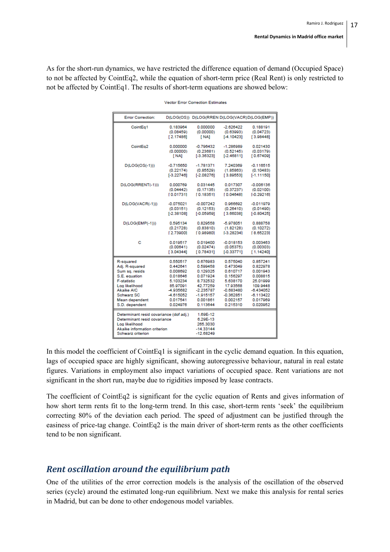As for the short-run dynamics, we have restricted the difference equation of demand (Occupied Space) to not be affected by CointEq2, while the equation of short-term price (Real Rent) is only restricted to not be affected by CointEq1. The results of short-term equations are showed below:

| <b>Error Correction:</b>                                                                                                                       |              |                                                                | D(LOG(OS)) D(LOG(RREN D(LOG(VACR)D(LOG(EMP)) |              |
|------------------------------------------------------------------------------------------------------------------------------------------------|--------------|----------------------------------------------------------------|----------------------------------------------|--------------|
| CointEq1                                                                                                                                       | 0.183964     | 0.000000                                                       | $-2.626422$                                  | 0.188191     |
|                                                                                                                                                | (0.08459)    | (0.00000)                                                      | (0.63993)                                    | (0.04723)    |
|                                                                                                                                                | [2.17486]    | [NA]                                                           | $[-4.10423]$                                 | [3.98448]    |
| CointEg2                                                                                                                                       | 0.000000     | $-0.796432$                                                    | $-1.286989$                                  | 0.021430     |
|                                                                                                                                                | (0.00000)    | (0.23681)                                                      | (0.52145)                                    | (0.03179)    |
|                                                                                                                                                | [ NA]        | $[-3.36323]$                                                   | $[-2.46811]$                                 | [0.67409]    |
| $D(LOG(OS(-1)))$                                                                                                                               | $-0.715650$  | $-1.781371$                                                    | 7.240369                                     | $-0.116515$  |
|                                                                                                                                                | (0.22174)    | (0.85529)                                                      | (1.85863)                                    | (0.10483)    |
|                                                                                                                                                | $[-3.22746]$ | $[-2.08276]$                                                   | [3.89553]                                    | $[-1.11150]$ |
| D(LOG(RRENT(-1)))                                                                                                                              | 0.000769     | 0.031445                                                       | 0.017307                                     | $-0.006136$  |
|                                                                                                                                                | (0.04442)    | (0.17135)                                                      | (0.37237)                                    | (0.02100)    |
|                                                                                                                                                | [0.01731]    | [0.18351]                                                      | [0.04648]                                    | $[-0.29216]$ |
| $D(LOG(VACR(-1)))$                                                                                                                             | $-0.075021$  | $-0.007242$                                                    | 0.966692                                     | $-0.011979$  |
|                                                                                                                                                | (0.03151)    | (0.12153)                                                      | (0.26410)                                    | (0.01490)    |
|                                                                                                                                                | $[-2.38108]$ | $[-0.05959]$                                                   | [3.66038]                                    | $[-0.80425]$ |
| $D(LOG(EMP(-1)))$                                                                                                                              | 0.595134     | 0.829558                                                       | $-5.978051$                                  | 0.888758     |
|                                                                                                                                                | (0.21728)    | (0.83810)                                                      | (1.82128)                                    | (0.10272)    |
|                                                                                                                                                | [2.73900]    | [0.98980]                                                      | <b>F-3.282341</b>                            | [ 8.65223]   |
| c                                                                                                                                              | 0.019517     | 0.019400                                                       | $-0.018153$                                  | 0.003463     |
|                                                                                                                                                | (0.00641)    | (0.02474)                                                      | (0.05375)                                    | (0.00303)    |
|                                                                                                                                                | [3.04344]    | [0.78431]                                                      | $[-0.33771]$                                 | [1.14240]    |
| R-squared                                                                                                                                      | 0.550517     | 0.676983                                                       | 0.575040                                     | 0.857241     |
| Adj. R-squared                                                                                                                                 | 0.442641     | 0.599458                                                       | 0.473049                                     | 0.822978     |
| Sum sq. resids                                                                                                                                 | 0.008692     | 0.129325                                                       | 0.610717                                     | 0.001943     |
| S.E. equation                                                                                                                                  | 0.018646     | 0.071924                                                       | 0.156297                                     | 0.008815     |
| <b>F-statistic</b>                                                                                                                             | 5.103234     | 8.732532                                                       | 5.638170                                     | 25.01999     |
| Log likelihood                                                                                                                                 | 85.97091     | 42.77259                                                       | 17.93568                                     | 109.9448     |
| <b>Akaike AIC</b>                                                                                                                              | -4.935682    | $-2.235787$                                                    | $-0.683480$                                  | $-6.434052$  |
| Schwarz SC                                                                                                                                     | -4.615052    | $-1.915157$                                                    | $-0.362851$                                  | $-6.113422$  |
| Mean dependent                                                                                                                                 | 0.017541     | 0.001861                                                       | 0.002157                                     | 0.017969     |
| S.D. dependent                                                                                                                                 | 0.024976     | 0.113644                                                       | 0.215310                                     | 0.020952     |
| Determinant resid covariance (dof adj.)<br>Determinant resid covariance<br>Log likelihood<br>Akaike information criterion<br>Schwarz criterion |              | 1.69E-12<br>6.29E-13<br>265,3030<br>$-14.33144$<br>$-12.68249$ |                                              |              |

**Vector Error Correction Estimates** 

In this model the coefficient of CointEq1 is significant in the cyclic demand equation. In this equation, lags of occupied space are highly significant, showing autoregressive behaviour, natural in real estate figures. Variations in employment also impact variations of occupied space. Rent variations are not significant in the short run, maybe due to rigidities imposed by lease contracts.

The coefficient of CointEq2 is significant for the cyclic equation of Rents and gives information of how short term rents fit to the long-term trend. In this case, short-term rents 'seek' the equilibrium correcting 80% of the deviation each period. The speed of adjustment can be justified through the easiness of price-tag change. CointEq2 is the main driver of short-term rents as the other coefficients tend to be non significant.

### *Rent oscillation around the equilibrium path*

One of the utilities of the error correction models is the analysis of the oscillation of the observed series (cycle) around the estimated long-run equilibrium. Next we make this analysis for rental series in Madrid, but can be done to other endogenous model variables.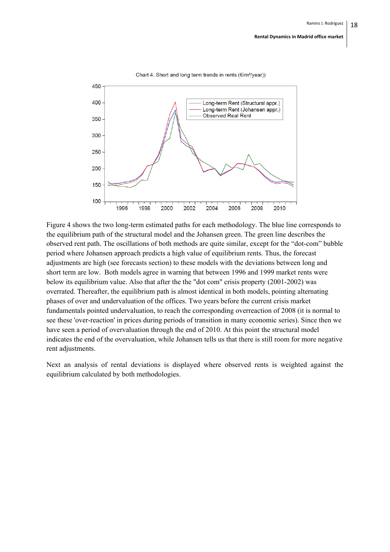

Chart 4. Short and long term trends in rents (€/m<sup>2</sup>/year))

Figure 4 shows the two long-term estimated paths for each methodology. The blue line corresponds to the equilibrium path of the structural model and the Johansen green. The green line describes the observed rent path. The oscillations of both methods are quite similar, except for the "dot-com" bubble period where Johansen approach predicts a high value of equilibrium rents. Thus, the forecast adjustments are high (see forecasts section) to these models with the deviations between long and short term are low. Both models agree in warning that between 1996 and 1999 market rents were below its equilibrium value. Also that after the the "dot com" crisis property (2001-2002) was overrated. Thereafter, the equilibrium path is almost identical in both models, pointing alternating phases of over and undervaluation of the offices. Two years before the current crisis market fundamentals pointed undervaluation, to reach the corresponding overreaction of 2008 (it is normal to see these 'over-reaction' in prices during periods of transition in many economic series). Since then we have seen a period of overvaluation through the end of 2010. At this point the structural model indicates the end of the overvaluation, while Johansen tells us that there is still room for more negative rent adjustments.

Next an analysis of rental deviations is displayed where observed rents is weighted against the equilibrium calculated by both methodologies.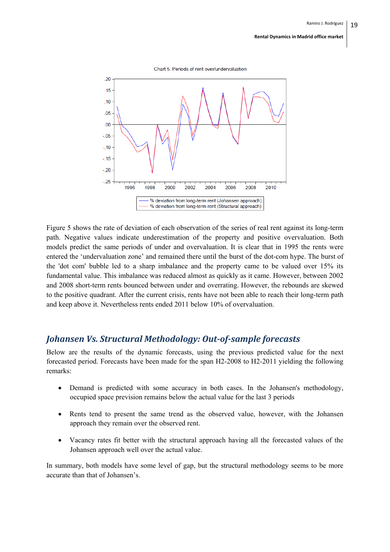

Figure 5 shows the rate of deviation of each observation of the series of real rent against its long-term path. Negative values indicate underestimation of the property and positive overvaluation. Both models predict the same periods of under and overvaluation. It is clear that in 1995 the rents were entered the 'undervaluation zone' and remained there until the burst of the dot-com hype. The burst of the 'dot com' bubble led to a sharp imbalance and the property came to be valued over 15% its fundamental value. This imbalance was reduced almost as quickly as it came. However, between 2002 and 2008 short-term rents bounced between under and overrating. However, the rebounds are skewed to the positive quadrant. After the current crisis, rents have not been able to reach their long-term path and keep above it. Nevertheless rents ended 2011 below 10% of overvaluation.

### *Johansen Vs. Structural Methodology: Out‐of‐sample forecasts*

Below are the results of the dynamic forecasts, using the previous predicted value for the next forecasted period. Forecasts have been made for the span H2-2008 to H2-2011 yielding the following remarks:

- Demand is predicted with some accuracy in both cases. In the Johansen's methodology, occupied space prevision remains below the actual value for the last 3 periods
- Rents tend to present the same trend as the observed value, however, with the Johansen approach they remain over the observed rent.
- Vacancy rates fit better with the structural approach having all the forecasted values of the Johansen approach well over the actual value.

In summary, both models have some level of gap, but the structural methodology seems to be more accurate than that of Johansen's.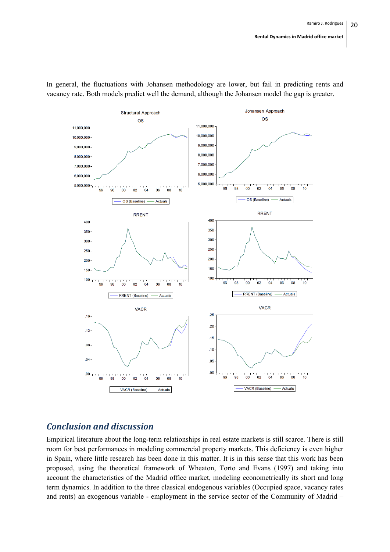

In general, the fluctuations with Johansen methodology are lower, but fail in predicting rents and vacancy rate. Both models predict well the demand, although the Johansen model the gap is greater.

### *Conclusion and discussion*

Empirical literature about the long-term relationships in real estate markets is still scarce. There is still room for best performances in modeling commercial property markets. This deficiency is even higher in Spain, where little research has been done in this matter. It is in this sense that this work has been proposed, using the theoretical framework of Wheaton, Torto and Evans (1997) and taking into account the characteristics of the Madrid office market, modeling econometrically its short and long term dynamics. In addition to the three classical endogenous variables (Occupied space, vacancy rates and rents) an exogenous variable - employment in the service sector of the Community of Madrid –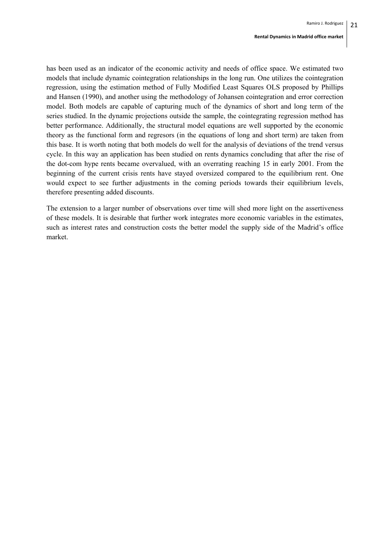has been used as an indicator of the economic activity and needs of office space. We estimated two models that include dynamic cointegration relationships in the long run. One utilizes the cointegration regression, using the estimation method of Fully Modified Least Squares OLS proposed by Phillips and Hansen (1990), and another using the methodology of Johansen cointegration and error correction model. Both models are capable of capturing much of the dynamics of short and long term of the series studied. In the dynamic projections outside the sample, the cointegrating regression method has better performance. Additionally, the structural model equations are well supported by the economic theory as the functional form and regresors (in the equations of long and short term) are taken from this base. It is worth noting that both models do well for the analysis of deviations of the trend versus cycle. In this way an application has been studied on rents dynamics concluding that after the rise of the dot-com hype rents became overvalued, with an overrating reaching 15 in early 2001. From the beginning of the current crisis rents have stayed oversized compared to the equilibrium rent. One would expect to see further adjustments in the coming periods towards their equilibrium levels, therefore presenting added discounts.

The extension to a larger number of observations over time will shed more light on the assertiveness of these models. It is desirable that further work integrates more economic variables in the estimates, such as interest rates and construction costs the better model the supply side of the Madrid's office market.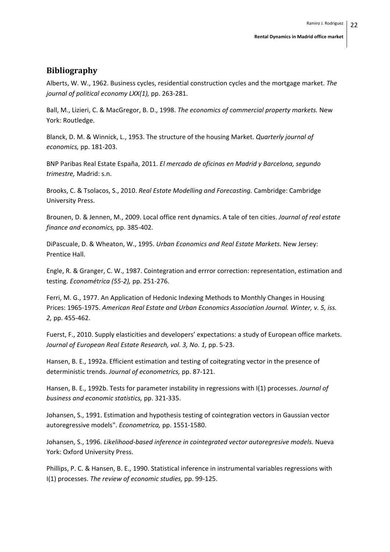#### **Bibliography**

Alberts, W. W., 1962. Business cycles, residential construction cycles and the mortgage market. *The journal of political economy LXX(1),* pp. 263‐281.

Ball, M., Lizieri, C. & MacGregor, B. D., 1998. *The economics of commercial property markets.* New York: Routledge.

Blanck, D. M. & Winnick, L., 1953. The structure of the housing Market. *Quarterly journal of economics,* pp. 181‐203.

BNP Paribas Real Estate España, 2011. *El mercado de oficinas en Madrid y Barcelona, segundo trimestre,* Madrid: s.n.

Brooks, C. & Tsolacos, S., 2010. *Real Estate Modelling and Forecasting.* Cambridge: Cambridge University Press.

Brounen, D. & Jennen, M., 2009. Local office rent dynamics. A tale of ten cities. *Journal of real estate finance and economics,* pp. 385‐402.

DiPascuale, D. & Wheaton, W., 1995. *Urban Economics and Real Estate Markets.* New Jersey: Prentice Hall.

Engle, R. & Granger, C. W., 1987. Cointegration and errror correction: representation, estimation and testing. *Econométrica (55‐2),* pp. 251‐276.

Ferri, M. G., 1977. An Application of Hedonic Indexing Methods to Monthly Changes in Housing Prices: 1965‐1975. *American Real Estate and Urban Economics Association Journal. Winter, v. 5, iss. 2,* pp. 455‐462.

Fuerst, F., 2010. Supply elasticities and developers' expectations: a study of European office markets. *Journal of European Real Estate Research, vol. 3, No. 1,* pp. 5‐23.

Hansen, B. E., 1992a. Efficient estimation and testing of coitegrating vector in the presence of deterministic trends. *Journal of econometrics,* pp. 87‐121.

Hansen, B. E., 1992b. Tests for parameter instability in regressions with I(1) processes. *Journal of business and economic statistics,* pp. 321‐335.

Johansen, S., 1991. Estimation and hypothesis testing of cointegration vectors in Gaussian vector autoregressive models". *Econometrica,* pp. 1551‐1580.

Johansen, S., 1996. *Likelihood‐based inference in cointegrated vector autoregresive models.* Nueva York: Oxford University Press.

Phillips, P. C. & Hansen, B. E., 1990. Statistical inference in instrumental variables regressions with I(1) processes. *The review of economic studies,* pp. 99‐125.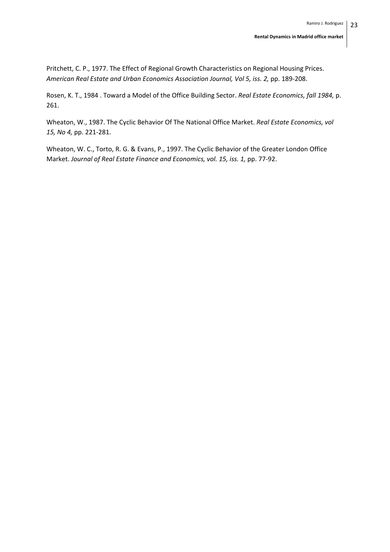Pritchett, C. P., 1977. The Effect of Regional Growth Characteristics on Regional Housing Prices. *American Real Estate and Urban Economics Association Journal, Vol 5, iss. 2,* pp. 189‐208.

Rosen, K. T., 1984 . Toward a Model of the Office Building Sector. *Real Estate Economics, fall 1984,* p. 261.

Wheaton, W., 1987. The Cyclic Behavior Of The National Office Market. *Real Estate Economics, vol 15, No 4,* pp. 221‐281.

Wheaton, W. C., Torto, R. G. & Evans, P., 1997. The Cyclic Behavior of the Greater London Office Market. *Journal of Real Estate Finance and Economics, vol. 15, iss. 1,* pp. 77‐92.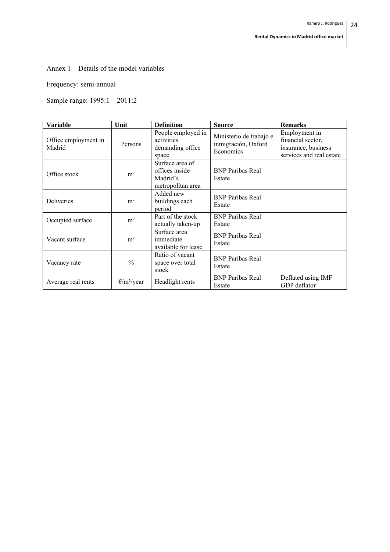### Annex 1 – Details of the model variables

### Frequency: semi-annual

Sample range: 1995:1 – 2011:2

| <b>Variable</b>                | Unit                         | <b>Definition</b>                                                  | <b>Source</b>                                               | <b>Remarks</b>                                                                        |
|--------------------------------|------------------------------|--------------------------------------------------------------------|-------------------------------------------------------------|---------------------------------------------------------------------------------------|
| Office employment in<br>Madrid | Persons                      | People employed in<br>activities<br>demanding office<br>space      | Ministerio de trabajo e<br>inmigración, Oxford<br>Economics | Employment in<br>financial sector,<br>insurance, business<br>services and real estate |
| Office stock                   | m <sup>2</sup>               | Surface area of<br>offices inside<br>Madrid's<br>metropolitan area | <b>BNP</b> Paribas Real<br>Estate                           |                                                                                       |
| Deliveries                     | m <sup>2</sup>               | Added new<br>buildings each<br>period                              | <b>BNP</b> Paribas Real<br>Estate                           |                                                                                       |
| Occupied surface               | m <sup>2</sup>               | Part of the stock<br>actually taken-up                             | <b>BNP</b> Paribas Real<br>Estate                           |                                                                                       |
| Vacant surface                 | m <sup>2</sup>               | Surface area<br>immediate<br>available for lease                   | <b>BNP</b> Paribas Real<br>Estate                           |                                                                                       |
| Vacancy rate                   | $\frac{0}{0}$                | Ratio of vacant<br>space over total<br>stock                       | <b>BNP</b> Paribas Real<br>Estate                           |                                                                                       |
| Average real rents             | $\frac{\epsilon}{m^2}$ /year | Headlight rents                                                    | <b>BNP</b> Paribas Real<br>Estate                           | Deflated using IMF<br>GDP deflator                                                    |